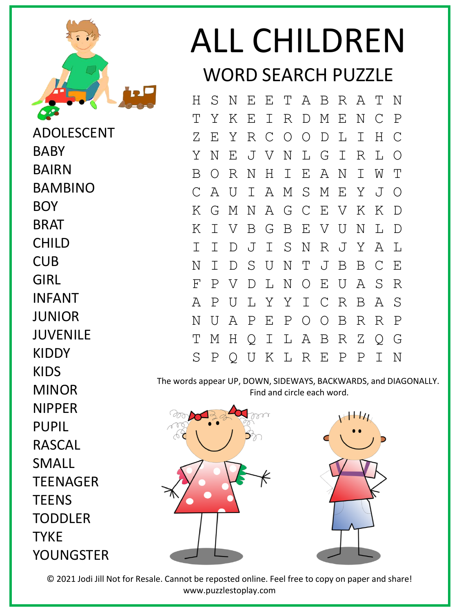

ADOLESCENT BABY BAIRN BAMBINO BOY BRAT CHILD CUB GIRL INFANT **JUNIOR** JUVENILE KIDDY KIDS MINOR NIPPER PUPIL RASCAL SMALL **TEENAGER TEENS TODDLER TYKE** YOUNGSTER

## ALL CHILDREN WORD SEARCH PUZZLE

|   |             |           |     |  |                   |              | S N E E T A B R A T |                | N           |
|---|-------------|-----------|-----|--|-------------------|--------------|---------------------|----------------|-------------|
| Т | Υ           | Κ         |     |  | E I R D M E       |              | $\mathbf N$         | $\mathbb C$    | $\mathbb P$ |
| Ζ | E           | Y         |     |  | R C O O D         | $\mathbb{L}$ | $\mathbb{I}$        | Η              | C           |
| Υ | N           | $E_{\rm}$ |     |  | J V N L G I       |              | R                   | L              | $\bigcirc$  |
| Β | $\bigcirc$  |           | R N |  | HIEAN             |              | $\mathbb{I}^-$      | W              | T           |
|   | A           | U         |     |  | I A M S M E Y     |              |                     | $\overline{J}$ | $\bigcirc$  |
| Κ |             |           |     |  |                   |              | G M N A G C E V K   | Κ              | $\mathbb D$ |
| Κ | I.          |           |     |  | V B G B E V U     |              | $\mathbf N$         | L              | $\mathbb D$ |
| Ι | I           | D         |     |  |                   |              | J I S N R J Y       | A              | L           |
| Ν | Ι           |           | D S |  | UNTJ              | $\mathbf B$  | B C                 |                | E           |
| F | $\mathbf P$ | V         | D   |  | L N O E U         |              | A                   | S              | R           |
| A | $\mathbf P$ | U         |     |  | L Y Y I C R       |              | B                   | A              | S           |
| Ν | U           | A         |     |  | PEPOOB            |              | $R_{\parallel}$     | $\mathbb{R}$   | $\mathbf P$ |
| Т | М           |           |     |  |                   |              | H Q I L A B R Z     | Q              | G           |
| S |             |           |     |  | P Q U K L R E P P |              |                     | $\mathbf{I}$   | N           |

The words appear UP, DOWN, SIDEWAYS, BACKWARDS, and DIAGONALLY. Find and circle each word.



© 2021 Jodi Jill Not for Resale. Cannot be reposted online. Feel free to copy on paper and share! www.puzzlestoplay.com